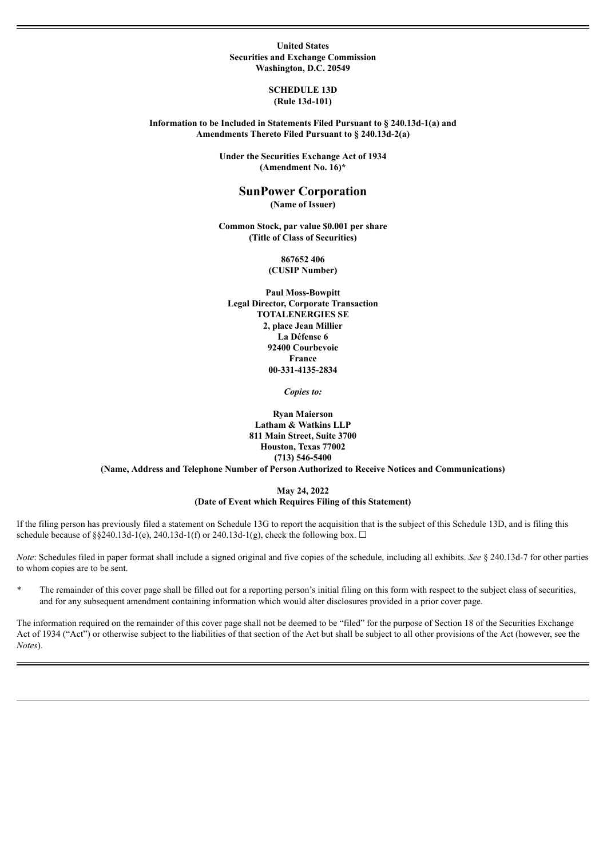#### **United States Securities and Exchange Commission Washington, D.C. 20549**

#### **SCHEDULE 13D (Rule 13d-101)**

### **Information to be Included in Statements Filed Pursuant to § 240.13d-1(a) and Amendments Thereto Filed Pursuant to § 240.13d-2(a)**

**Under the Securities Exchange Act of 1934 (Amendment No. 16)\***

# **SunPower Corporation**

**(Name of Issuer)**

**Common Stock, par value \$0.001 per share (Title of Class of Securities)**

> **867652 406 (CUSIP Number)**

**Paul Moss-Bowpitt Legal Director, Corporate Transaction TOTALENERGIES SE 2, place Jean Millier La Défense 6 92400 Courbevoie France 00-331-4135-2834**

*Copies to:*

**Ryan Maierson Latham & Watkins LLP 811 Main Street, Suite 3700 Houston, Texas 77002 (713) 546-5400**

**(Name, Address and Telephone Number of Person Authorized to Receive Notices and Communications)**

#### **May 24, 2022 (Date of Event which Requires Filing of this Statement)**

If the filing person has previously filed a statement on Schedule 13G to report the acquisition that is the subject of this Schedule 13D, and is filing this schedule because of §§240.13d-1(e), 240.13d-1(f) or 240.13d-1(g), check the following box.  $\Box$ 

*Note*: Schedules filed in paper format shall include a signed original and five copies of the schedule, including all exhibits. *See* § 240.13d-7 for other parties to whom copies are to be sent.

The remainder of this cover page shall be filled out for a reporting person's initial filing on this form with respect to the subject class of securities, and for any subsequent amendment containing information which would alter disclosures provided in a prior cover page.

The information required on the remainder of this cover page shall not be deemed to be "filed" for the purpose of Section 18 of the Securities Exchange Act of 1934 ("Act") or otherwise subject to the liabilities of that section of the Act but shall be subject to all other provisions of the Act (however, see the *Notes*).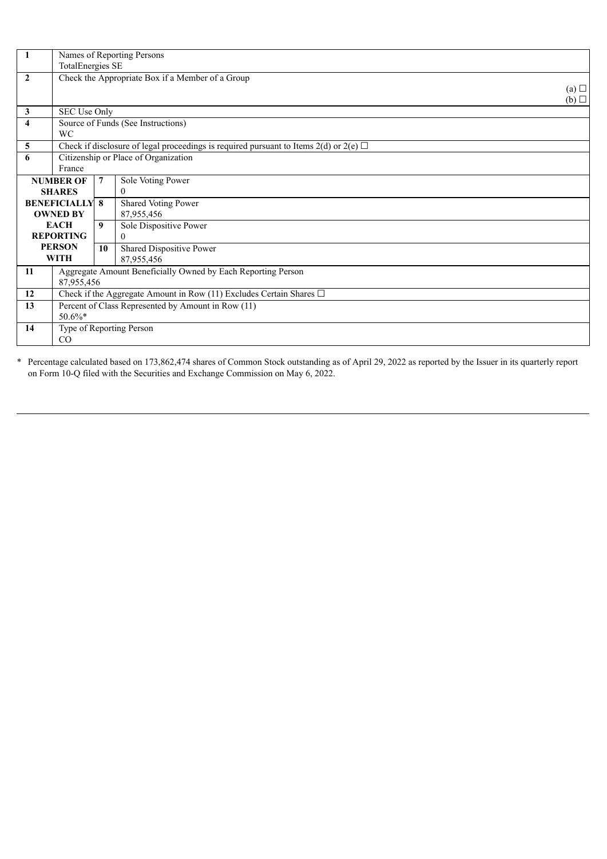| -1                      | Names of Reporting Persons                                                                 |    |                            |                 |
|-------------------------|--------------------------------------------------------------------------------------------|----|----------------------------|-----------------|
|                         | <b>TotalEnergies SE</b>                                                                    |    |                            |                 |
| $\overline{2}$          | Check the Appropriate Box if a Member of a Group                                           |    |                            |                 |
|                         |                                                                                            |    |                            | $(a)$ $\square$ |
|                         |                                                                                            |    |                            | $(b)$ $\square$ |
| $\mathbf{3}$            | SEC Use Only                                                                               |    |                            |                 |
| $\overline{\mathbf{4}}$ | Source of Funds (See Instructions)                                                         |    |                            |                 |
|                         | WC                                                                                         |    |                            |                 |
| 5                       | Check if disclosure of legal proceedings is required pursuant to Items 2(d) or 2(e) $\Box$ |    |                            |                 |
| 6                       | Citizenship or Place of Organization                                                       |    |                            |                 |
|                         | France                                                                                     |    |                            |                 |
| <b>NUMBER OF</b>        |                                                                                            | 7  | Sole Voting Power          |                 |
| <b>SHARES</b>           |                                                                                            |    | $\overline{0}$             |                 |
| <b>BENEFICIALLY 8</b>   |                                                                                            |    | <b>Shared Voting Power</b> |                 |
| <b>OWNED BY</b>         |                                                                                            |    | 87,955,456                 |                 |
| <b>EACH</b>             |                                                                                            | 9  | Sole Dispositive Power     |                 |
| <b>REPORTING</b>        |                                                                                            |    | $\theta$                   |                 |
|                         | <b>PERSON</b>                                                                              | 10 | Shared Dispositive Power   |                 |
| <b>WITH</b>             |                                                                                            |    | 87,955,456                 |                 |
| 11                      | Aggregate Amount Beneficially Owned by Each Reporting Person                               |    |                            |                 |
|                         | 87,955,456                                                                                 |    |                            |                 |
| 12                      | Check if the Aggregate Amount in Row (11) Excludes Certain Shares $\square$                |    |                            |                 |
| 13                      | Percent of Class Represented by Amount in Row (11)                                         |    |                            |                 |
|                         | $50.6\%*$                                                                                  |    |                            |                 |
| 14                      | Type of Reporting Person                                                                   |    |                            |                 |
|                         | $\rm CO$                                                                                   |    |                            |                 |

\* Percentage calculated based on 173,862,474 shares of Common Stock outstanding as of April 29, 2022 as reported by the Issuer in its quarterly report on Form 10-Q filed with the Securities and Exchange Commission on May 6, 2022.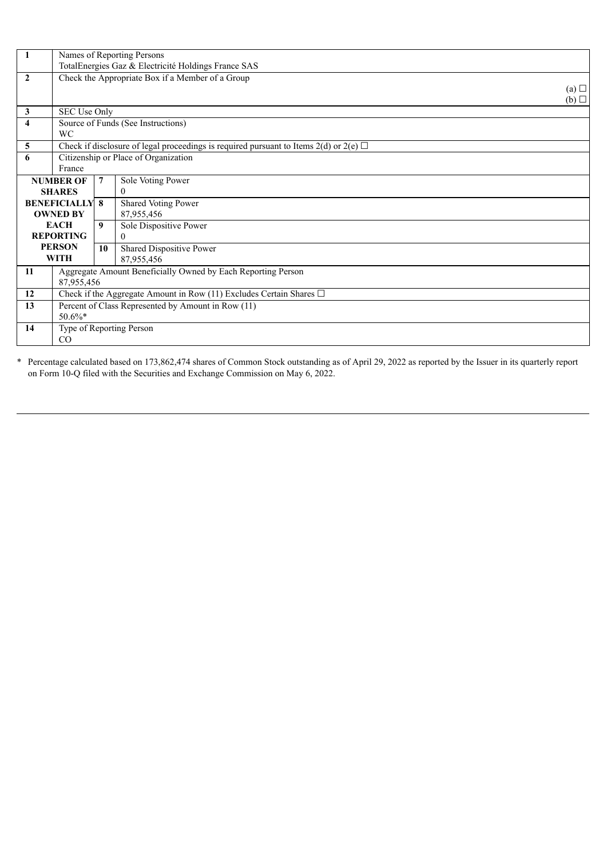| -1                    | Names of Reporting Persons                                                                 |    |                            |                 |
|-----------------------|--------------------------------------------------------------------------------------------|----|----------------------------|-----------------|
|                       | TotalEnergies Gaz & Electricité Holdings France SAS                                        |    |                            |                 |
| $\overline{2}$        | Check the Appropriate Box if a Member of a Group                                           |    |                            |                 |
|                       |                                                                                            |    |                            | $(a)$ $\square$ |
|                       |                                                                                            |    |                            | $(b)$ $\square$ |
| $\mathbf{3}$          | SEC Use Only                                                                               |    |                            |                 |
| $\overline{\bf{4}}$   | Source of Funds (See Instructions)                                                         |    |                            |                 |
|                       | <b>WC</b>                                                                                  |    |                            |                 |
| 5                     | Check if disclosure of legal proceedings is required pursuant to Items 2(d) or 2(e) $\Box$ |    |                            |                 |
| 6                     | Citizenship or Place of Organization                                                       |    |                            |                 |
|                       | France                                                                                     |    |                            |                 |
| <b>NUMBER OF</b>      |                                                                                            | 7  | Sole Voting Power          |                 |
| <b>SHARES</b>         |                                                                                            |    | $\overline{0}$             |                 |
| <b>BENEFICIALLY 8</b> |                                                                                            |    | <b>Shared Voting Power</b> |                 |
| <b>OWNED BY</b>       |                                                                                            |    | 87,955,456                 |                 |
| <b>EACH</b>           |                                                                                            | 9  | Sole Dispositive Power     |                 |
| <b>REPORTING</b>      |                                                                                            |    | 0                          |                 |
| <b>PERSON</b>         |                                                                                            | 10 | Shared Dispositive Power   |                 |
| <b>WITH</b>           |                                                                                            |    | 87,955,456                 |                 |
| <b>11</b>             | Aggregate Amount Beneficially Owned by Each Reporting Person                               |    |                            |                 |
|                       | 87,955,456                                                                                 |    |                            |                 |
| 12                    | Check if the Aggregate Amount in Row (11) Excludes Certain Shares $\Box$                   |    |                            |                 |
| 13                    | Percent of Class Represented by Amount in Row (11)                                         |    |                            |                 |
|                       | $50.6\%*$                                                                                  |    |                            |                 |
| 14                    | Type of Reporting Person                                                                   |    |                            |                 |
|                       | CO                                                                                         |    |                            |                 |

\* Percentage calculated based on 173,862,474 shares of Common Stock outstanding as of April 29, 2022 as reported by the Issuer in its quarterly report on Form 10-Q filed with the Securities and Exchange Commission on May 6, 2022.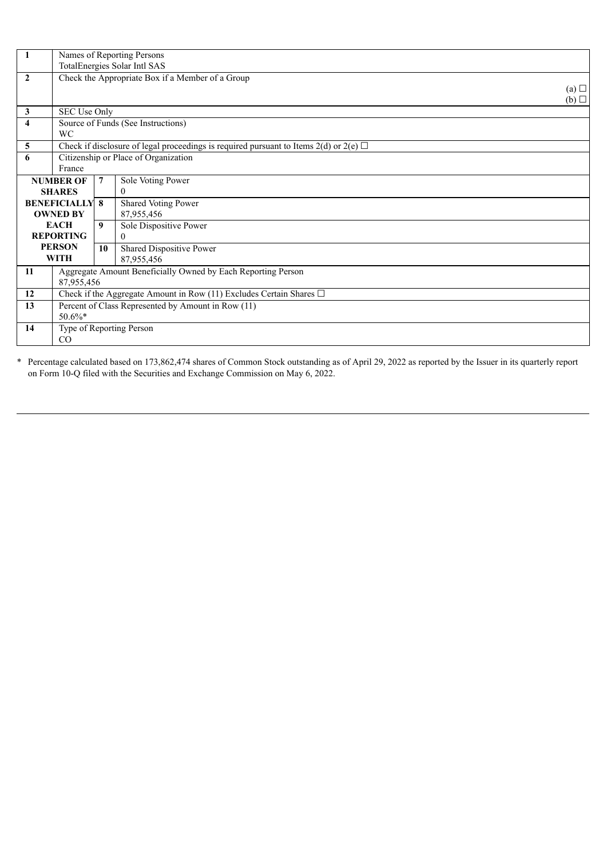| Names of Reporting Persons |                                                                                            |    |                            |                 |
|----------------------------|--------------------------------------------------------------------------------------------|----|----------------------------|-----------------|
|                            | TotalEnergies Solar Intl SAS                                                               |    |                            |                 |
| $\overline{2}$             | Check the Appropriate Box if a Member of a Group                                           |    |                            |                 |
|                            |                                                                                            |    |                            | $(a)$ $\square$ |
|                            |                                                                                            |    |                            | $(b)$ $\square$ |
| $\mathbf{3}$               | SEC Use Only                                                                               |    |                            |                 |
| $\overline{4}$             | Source of Funds (See Instructions)                                                         |    |                            |                 |
| <b>WC</b>                  |                                                                                            |    |                            |                 |
| 5                          | Check if disclosure of legal proceedings is required pursuant to Items 2(d) or 2(e) $\Box$ |    |                            |                 |
| 6                          | Citizenship or Place of Organization                                                       |    |                            |                 |
| France                     |                                                                                            |    |                            |                 |
| <b>NUMBER OF</b>           |                                                                                            | 7  | Sole Voting Power          |                 |
| <b>SHARES</b>              |                                                                                            |    | $\overline{0}$             |                 |
| <b>BENEFICIALLY 8</b>      |                                                                                            |    | <b>Shared Voting Power</b> |                 |
| <b>OWNED BY</b>            |                                                                                            |    | 87,955,456                 |                 |
| <b>EACH</b>                |                                                                                            | 9  | Sole Dispositive Power     |                 |
| <b>REPORTING</b>           |                                                                                            |    | 0                          |                 |
|                            | <b>PERSON</b>                                                                              | 10 | Shared Dispositive Power   |                 |
| <b>WITH</b>                |                                                                                            |    | 87,955,456                 |                 |
| 11                         | Aggregate Amount Beneficially Owned by Each Reporting Person                               |    |                            |                 |
|                            | 87,955,456                                                                                 |    |                            |                 |
| 12                         | Check if the Aggregate Amount in Row (11) Excludes Certain Shares $\Box$                   |    |                            |                 |
| 13                         | Percent of Class Represented by Amount in Row (11)                                         |    |                            |                 |
|                            | $50.6\%*$                                                                                  |    |                            |                 |
| 14                         | Type of Reporting Person                                                                   |    |                            |                 |
|                            | $\rm CO$                                                                                   |    |                            |                 |

\* Percentage calculated based on 173,862,474 shares of Common Stock outstanding as of April 29, 2022 as reported by the Issuer in its quarterly report on Form 10-Q filed with the Securities and Exchange Commission on May 6, 2022.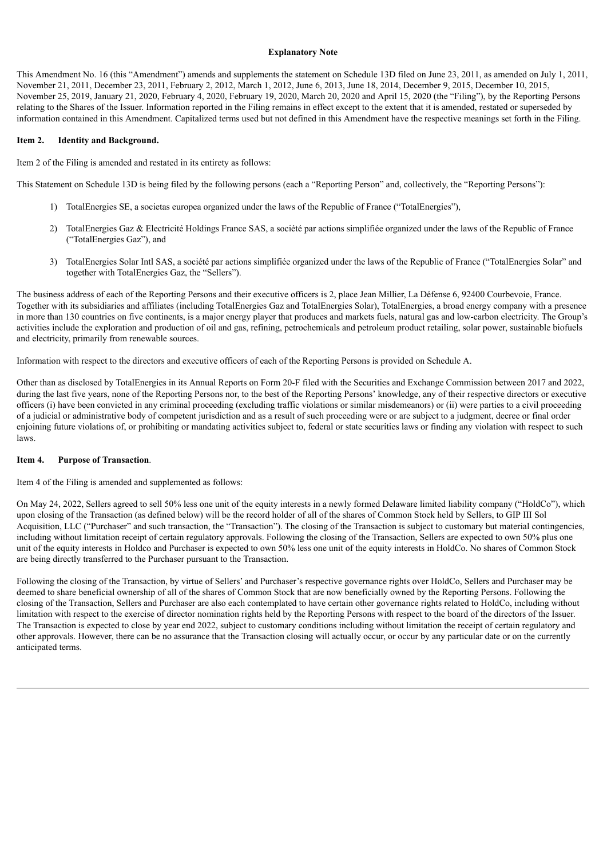### **Explanatory Note**

This Amendment No. 16 (this "Amendment") amends and supplements the statement on Schedule 13D filed on June 23, 2011, as amended on July 1, 2011, November 21, 2011, December 23, 2011, February 2, 2012, March 1, 2012, June 6, 2013, June 18, 2014, December 9, 2015, December 10, 2015, November 25, 2019, January 21, 2020, February 4, 2020, February 19, 2020, March 20, 2020 and April 15, 2020 (the "Filing"), by the Reporting Persons relating to the Shares of the Issuer. Information reported in the Filing remains in effect except to the extent that it is amended, restated or superseded by information contained in this Amendment. Capitalized terms used but not defined in this Amendment have the respective meanings set forth in the Filing.

### **Item 2. Identity and Background.**

Item 2 of the Filing is amended and restated in its entirety as follows:

This Statement on Schedule 13D is being filed by the following persons (each a "Reporting Person" and, collectively, the "Reporting Persons"):

- 1) TotalEnergies SE, a societas europea organized under the laws of the Republic of France ("TotalEnergies"),
- 2) TotalEnergies Gaz & Electricité Holdings France SAS, a société par actions simplifiée organized under the laws of the Republic of France ("TotalEnergies Gaz"), and
- 3) TotalEnergies Solar Intl SAS, a société par actions simplifiée organized under the laws of the Republic of France ("TotalEnergies Solar" and together with TotalEnergies Gaz, the "Sellers").

The business address of each of the Reporting Persons and their executive officers is 2, place Jean Millier, La Défense 6, 92400 Courbevoie, France. Together with its subsidiaries and affiliates (including TotalEnergies Gaz and TotalEnergies Solar), TotalEnergies, a broad energy company with a presence in more than 130 countries on five continents, is a major energy player that produces and markets fuels, natural gas and low-carbon electricity. The Group's activities include the exploration and production of oil and gas, refining, petrochemicals and petroleum product retailing, solar power, sustainable biofuels and electricity, primarily from renewable sources.

Information with respect to the directors and executive officers of each of the Reporting Persons is provided on Schedule A.

Other than as disclosed by TotalEnergies in its Annual Reports on Form 20-F filed with the Securities and Exchange Commission between 2017 and 2022, during the last five years, none of the Reporting Persons nor, to the best of the Reporting Persons' knowledge, any of their respective directors or executive officers (i) have been convicted in any criminal proceeding (excluding traffic violations or similar misdemeanors) or (ii) were parties to a civil proceeding of a judicial or administrative body of competent jurisdiction and as a result of such proceeding were or are subject to a judgment, decree or final order enjoining future violations of, or prohibiting or mandating activities subject to, federal or state securities laws or finding any violation with respect to such laws.

## **Item 4. Purpose of Transaction**.

Item 4 of the Filing is amended and supplemented as follows:

On May 24, 2022, Sellers agreed to sell 50% less one unit of the equity interests in a newly formed Delaware limited liability company ("HoldCo"), which upon closing of the Transaction (as defined below) will be the record holder of all of the shares of Common Stock held by Sellers, to GIP III Sol Acquisition, LLC ("Purchaser" and such transaction, the "Transaction"). The closing of the Transaction is subject to customary but material contingencies, including without limitation receipt of certain regulatory approvals. Following the closing of the Transaction, Sellers are expected to own 50% plus one unit of the equity interests in Holdco and Purchaser is expected to own 50% less one unit of the equity interests in HoldCo. No shares of Common Stock are being directly transferred to the Purchaser pursuant to the Transaction.

Following the closing of the Transaction, by virtue of Sellers' and Purchaser's respective governance rights over HoldCo, Sellers and Purchaser may be deemed to share beneficial ownership of all of the shares of Common Stock that are now beneficially owned by the Reporting Persons. Following the closing of the Transaction, Sellers and Purchaser are also each contemplated to have certain other governance rights related to HoldCo, including without limitation with respect to the exercise of director nomination rights held by the Reporting Persons with respect to the board of the directors of the Issuer. The Transaction is expected to close by year end 2022, subject to customary conditions including without limitation the receipt of certain regulatory and other approvals. However, there can be no assurance that the Transaction closing will actually occur, or occur by any particular date or on the currently anticipated terms.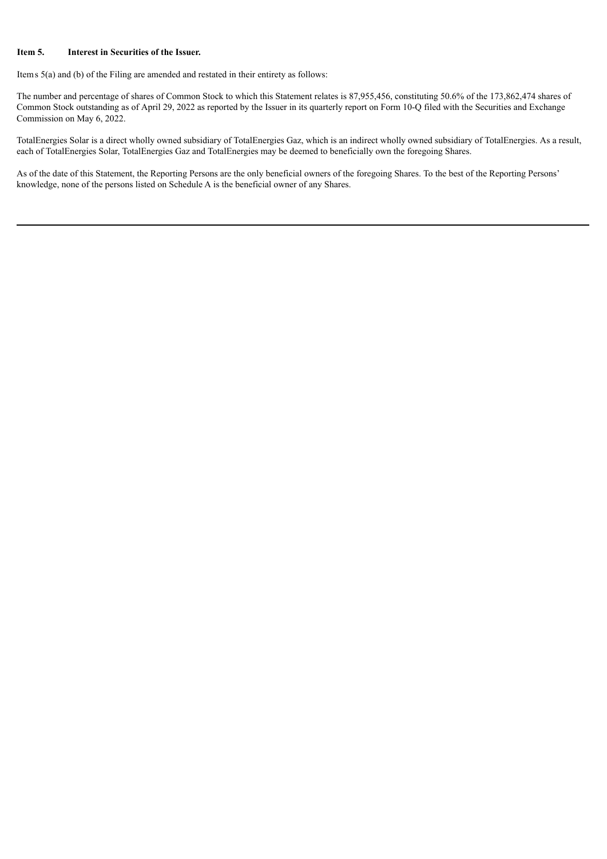# **Item 5. Interest in Securities of the Issuer.**

Items 5(a) and (b) of the Filing are amended and restated in their entirety as follows:

The number and percentage of shares of Common Stock to which this Statement relates is 87,955,456, constituting 50.6% of the 173,862,474 shares of Common Stock outstanding as of April 29, 2022 as reported by the Issuer in its quarterly report on Form 10-Q filed with the Securities and Exchange Commission on May 6, 2022.

TotalEnergies Solar is a direct wholly owned subsidiary of TotalEnergies Gaz, which is an indirect wholly owned subsidiary of TotalEnergies. As a result, each of TotalEnergies Solar, TotalEnergies Gaz and TotalEnergies may be deemed to beneficially own the foregoing Shares.

As of the date of this Statement, the Reporting Persons are the only beneficial owners of the foregoing Shares. To the best of the Reporting Persons' knowledge, none of the persons listed on Schedule A is the beneficial owner of any Shares.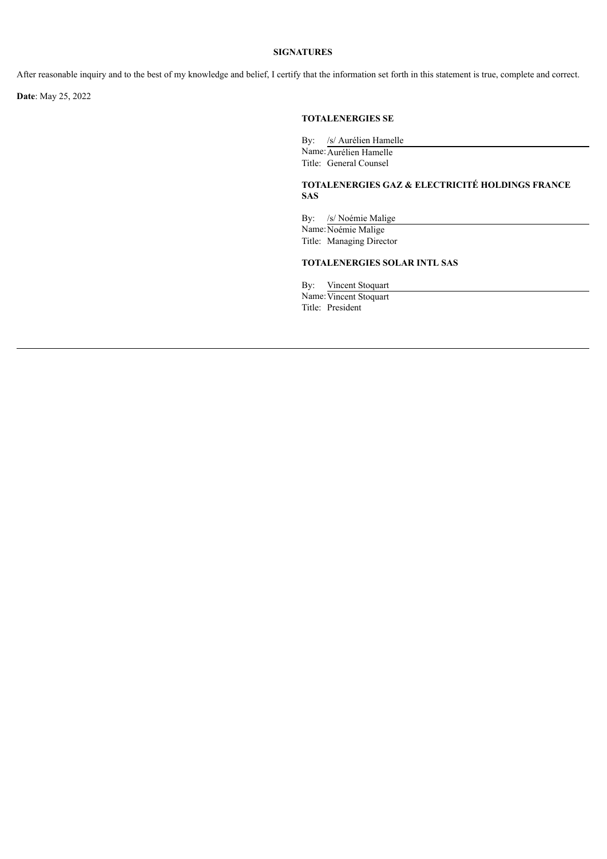## **SIGNATURES**

After reasonable inquiry and to the best of my knowledge and belief, I certify that the information set forth in this statement is true, complete and correct.

**Date**: May 25, 2022

## **TOTALENERGIES SE**

By: /s/ Aurélien Hamelle Name: Aurélien Hamelle Title: General Counsel

# **TOTALENERGIES GAZ & ELECTRICITÉ HOLDINGS FRANCE SAS**

By: /s/ Noémie Malige

Name: Noémie Malige Title: Managing Director

# **TOTALENERGIES SOLAR INTL SAS**

By: Vincent Stoquart Name: Vincent Stoquart

Title: President